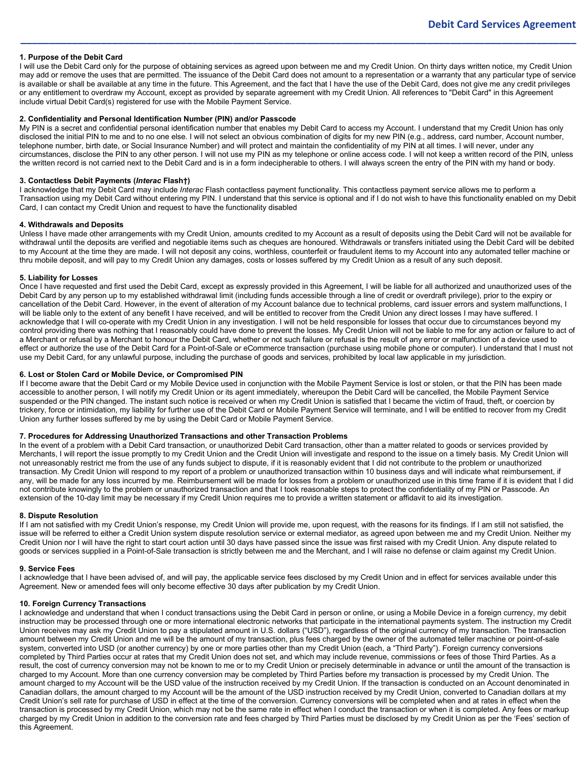# **1. Purpose of the Debit Card**

I will use the Debit Card only for the purpose of obtaining services as agreed upon between me and my Credit Union. On thirty days written notice, my Credit Union may add or remove the uses that are permitted. The issuance of the Debit Card does not amount to a representation or a warranty that any particular type of service is available or shall be available at any time in the future. This Agreement, and the fact that I have the use of the Debit Card, does not give me any credit privileges or any entitlement to overdraw my Account, except as provided by separate agreement with my Credit Union. All references to "Debit Card" in this Agreement include virtual Debit Card(s) registered for use with the Mobile Payment Service.

**\_\_\_\_\_\_\_\_\_\_\_\_\_\_\_\_\_\_\_\_\_\_\_\_\_\_\_\_\_\_\_\_\_\_\_\_\_\_\_\_\_\_\_\_\_\_\_\_\_\_\_\_\_\_\_\_\_\_\_\_\_\_\_\_\_\_\_\_\_\_\_\_\_\_\_\_\_\_\_\_\_\_\_\_\_\_\_\_\_\_\_\_\_\_\_\_\_**

## **2. Confidentiality and Personal Identification Number (PIN) and/or Passcode**

My PIN is a secret and confidential personal identification number that enables my Debit Card to access my Account. I understand that my Credit Union has only disclosed the initial PIN to me and to no one else. I will not select an obvious combination of digits for my new PIN (e.g., address, card number, Account number, telephone number, birth date, or Social Insurance Number) and will protect and maintain the confidentiality of my PIN at all times. I will never, under any circumstances, disclose the PIN to any other person. I will not use my PIN as my telephone or online access code. I will not keep a written record of the PIN, unless the written record is not carried next to the Debit Card and is in a form indecipherable to others. I will always screen the entry of the PIN with my hand or body.

## **3. Contactless Debit Payments (***Interac* **Flash†)**

I acknowledge that my Debit Card may include *Interac* Flash contactless payment functionality. This contactless payment service allows me to perform a Transaction using my Debit Card without entering my PIN. I understand that this service is optional and if I do not wish to have this functionality enabled on my Debit Card, I can contact my Credit Union and request to have the functionality disabled

## **4. Withdrawals and Deposits**

Unless I have made other arrangements with my Credit Union, amounts credited to my Account as a result of deposits using the Debit Card will not be available for withdrawal until the deposits are verified and negotiable items such as cheques are honoured. Withdrawals or transfers initiated using the Debit Card will be debited to my Account at the time they are made. I will not deposit any coins, worthless, counterfeit or fraudulent items to my Account into any automated teller machine or thru mobile deposit, and will pay to my Credit Union any damages, costs or losses suffered by my Credit Union as a result of any such deposit.

## **5. Liability for Losses**

Once I have requested and first used the Debit Card, except as expressly provided in this Agreement, I will be liable for all authorized and unauthorized uses of the Debit Card by any person up to my established withdrawal limit (including funds accessible through a line of credit or overdraft privilege), prior to the expiry or cancellation of the Debit Card. However, in the event of alteration of my Account balance due to technical problems, card issuer errors and system malfunctions, I will be liable only to the extent of any benefit I have received, and will be entitled to recover from the Credit Union any direct losses I may have suffered. I acknowledge that I will co-operate with my Credit Union in any investigation. I will not be held responsible for losses that occur due to circumstances beyond my control providing there was nothing that I reasonably could have done to prevent the losses. My Credit Union will not be liable to me for any action or failure to act of a Merchant or refusal by a Merchant to honour the Debit Card, whether or not such failure or refusal is the result of any error or malfunction of a device used to effect or authorize the use of the Debit Card for a Point-of-Sale or eCommerce transaction (purchase using mobile phone or computer). I understand that I must not use my Debit Card, for any unlawful purpose, including the purchase of goods and services, prohibited by local law applicable in my jurisdiction.

# **6. Lost or Stolen Card or Mobile Device, or Compromised PIN**

If I become aware that the Debit Card or my Mobile Device used in conjunction with the Mobile Payment Service is lost or stolen, or that the PIN has been made accessible to another person, I will notify my Credit Union or its agent immediately, whereupon the Debit Card will be cancelled, the Mobile Payment Service suspended or the PIN changed. The instant such notice is received or when my Credit Union is satisfied that I became the victim of fraud, theft, or coercion by trickery, force or intimidation, my liability for further use of the Debit Card or Mobile Payment Service will terminate, and I will be entitled to recover from my Credit Union any further losses suffered by me by using the Debit Card or Mobile Payment Service.

# **7. Procedures for Addressing Unauthorized Transactions and other Transaction Problems**

In the event of a problem with a Debit Card transaction, or unauthorized Debit Card transaction, other than a matter related to goods or services provided by Merchants, I will report the issue promptly to my Credit Union and the Credit Union will investigate and respond to the issue on a timely basis. My Credit Union will not unreasonably restrict me from the use of any funds subject to dispute, if it is reasonably evident that I did not contribute to the problem or unauthorized transaction. My Credit Union will respond to my report of a problem or unauthorized transaction within 10 business days and will indicate what reimbursement, if any, will be made for any loss incurred by me. Reimbursement will be made for losses from a problem or unauthorized use in this time frame if it is evident that I did not contribute knowingly to the problem or unauthorized transaction and that I took reasonable steps to protect the confidentiality of my PIN or Passcode. An extension of the 10-day limit may be necessary if my Credit Union requires me to provide a written statement or affidavit to aid its investigation.

### **8. Dispute Resolution**

If I am not satisfied with my Credit Union's response, my Credit Union will provide me, upon request, with the reasons for its findings. If I am still not satisfied, the issue will be referred to either a Credit Union system dispute resolution service or external mediator, as agreed upon between me and my Credit Union. Neither my Credit Union nor I will have the right to start court action until 30 days have passed since the issue was first raised with my Credit Union. Any dispute related to goods or services supplied in a Point-of-Sale transaction is strictly between me and the Merchant, and I will raise no defense or claim against my Credit Union.

### **9. Service Fees**

I acknowledge that I have been advised of, and will pay, the applicable service fees disclosed by my Credit Union and in effect for services available under this Agreement. New or amended fees will only become effective 30 days after publication by my Credit Union.

## **10. Foreign Currency Transactions**

I acknowledge and understand that when I conduct transactions using the Debit Card in person or online, or using a Mobile Device in a foreign currency, my debit instruction may be processed through one or more international electronic networks that participate in the international payments system. The instruction my Credit Union receives may ask my Credit Union to pay a stipulated amount in U.S. dollars ("USD"), regardless of the original currency of my transaction. The transaction amount between my Credit Union and me will be the amount of my transaction, plus fees charged by the owner of the automated teller machine or point-of-sale system, converted into USD (or another currency) by one or more parties other than my Credit Union (each, a "Third Party"). Foreign currency conversions completed by Third Parties occur at rates that my Credit Union does not set, and which may include revenue, commissions or fees of those Third Parties. As a result, the cost of currency conversion may not be known to me or to my Credit Union or precisely determinable in advance or until the amount of the transaction is charged to my Account. More than one currency conversion may be completed by Third Parties before my transaction is processed by my Credit Union. The amount charged to my Account will be the USD value of the instruction received by my Credit Union. If the transaction is conducted on an Account denominated in Canadian dollars, the amount charged to my Account will be the amount of the USD instruction received by my Credit Union, converted to Canadian dollars at my Credit Union's sell rate for purchase of USD in effect at the time of the conversion. Currency conversions will be completed when and at rates in effect when the transaction is processed by my Credit Union, which may not be the same rate in effect when I conduct the transaction or when it is completed. Any fees or markup charged by my Credit Union in addition to the conversion rate and fees charged by Third Parties must be disclosed by my Credit Union as per the 'Fees' section of this Agreement.